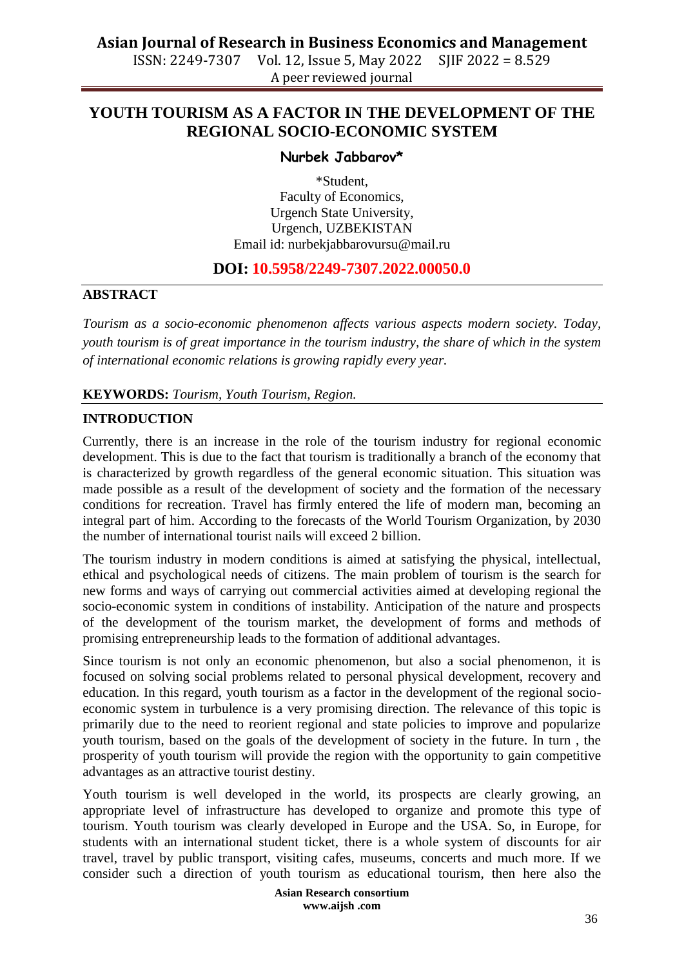# **Asian Journal of Research in Business Economics and Management**

ISSN: 2249-7307 Vol. 12, Issue 5, May 2022 SJIF 2022 = 8.529 A peer reviewed journal

# **YOUTH TOURISM AS A FACTOR IN THE DEVELOPMENT OF THE REGIONAL SOCIO-ECONOMIC SYSTEM**

#### **Nurbek Jabbarov\***

\*Student, Faculty of Economics, Urgench State University, Urgench, UZBEKISTAN Email id: [nurbekjabbarovursu@mail.ru](mailto:nurbekjabbarovursu@mail.ru)

# **DOI: 10.5958/2249-7307.2022.00050.0**

## **ABSTRACT**

*Tourism as a socio-economic phenomenon affects various aspects modern society. Today, youth tourism is of great importance in the tourism industry, the share of which in the system of international economic relations is growing rapidly every year.*

#### **KEYWORDS:** *Tourism, Youth Tourism, Region.*

## **INTRODUCTION**

Currently, there is an increase in the role of the tourism industry for regional economic development. This is due to the fact that tourism is traditionally a branch of the economy that is characterized by growth regardless of the general economic situation. This situation was made possible as a result of the development of society and the formation of the necessary conditions for recreation. Travel has firmly entered the life of modern man, becoming an integral part of him. According to the forecasts of the World Tourism Organization, by 2030 the number of international tourist nails will exceed 2 billion.

The tourism industry in modern conditions is aimed at satisfying the physical, intellectual, ethical and psychological needs of citizens. The main problem of tourism is the search for new forms and ways of carrying out commercial activities aimed at developing regional the socio-economic system in conditions of instability. Anticipation of the nature and prospects of the development of the tourism market, the development of forms and methods of promising entrepreneurship leads to the formation of additional advantages.

Since tourism is not only an economic phenomenon, but also a social phenomenon, it is focused on solving social problems related to personal physical development, recovery and education. In this regard, youth tourism as a factor in the development of the regional socioeconomic system in turbulence is a very promising direction. The relevance of this topic is primarily due to the need to reorient regional and state policies to improve and popularize youth tourism, based on the goals of the development of society in the future. In turn , the prosperity of youth tourism will provide the region with the opportunity to gain competitive advantages as an attractive tourist destiny.

Youth tourism is well developed in the world, its prospects are clearly growing, an appropriate level of infrastructure has developed to organize and promote this type of tourism. Youth tourism was clearly developed in Europe and the USA. So, in Europe, for students with an international student ticket, there is a whole system of discounts for air travel, travel by public transport, visiting cafes, museums, concerts and much more. If we consider such a direction of youth tourism as educational tourism, then here also the

> **Asian Research consortium www.aijsh .com**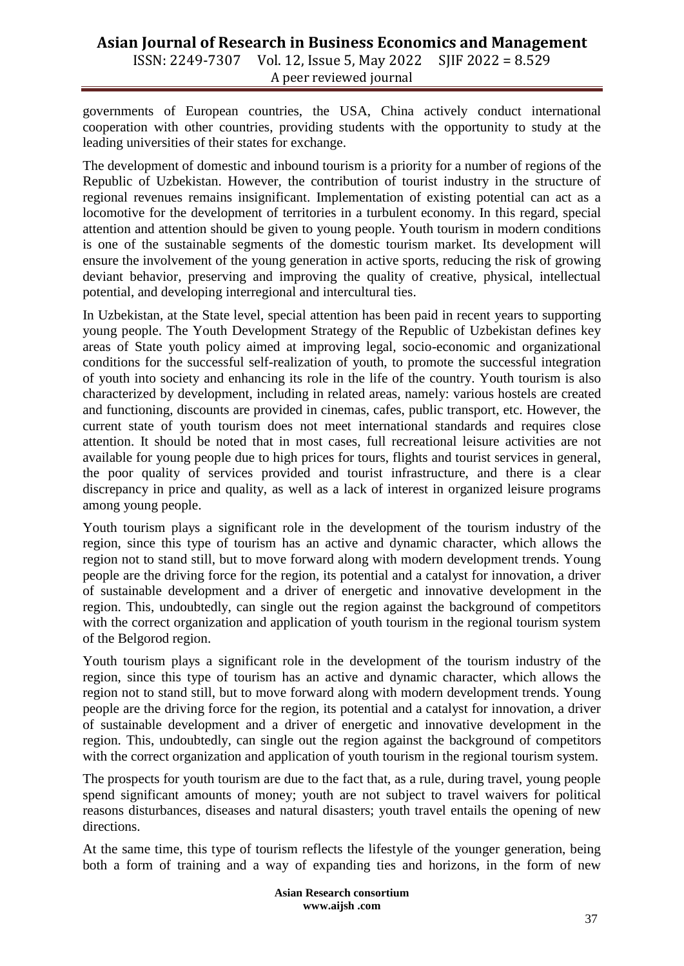# **Asian Journal of Research in Business Economics and Management** ISSN: 2249-7307 Vol. 12, Issue 5, May 2022 SJIF 2022 = 8.529

A peer reviewed journal

governments of European countries, the USA, China actively conduct international cooperation with other countries, providing students with the opportunity to study at the leading universities of their states for exchange.

The development of domestic and inbound tourism is a priority for a number of regions of the Republic of Uzbekistan. However, the contribution of tourist industry in the structure of regional revenues remains insignificant. Implementation of existing potential can act as a locomotive for the development of territories in a turbulent economy. In this regard, special attention and attention should be given to young people. Youth tourism in modern conditions is one of the sustainable segments of the domestic tourism market. Its development will ensure the involvement of the young generation in active sports, reducing the risk of growing deviant behavior, preserving and improving the quality of creative, physical, intellectual potential, and developing interregional and intercultural ties.

In Uzbekistan, at the State level, special attention has been paid in recent years to supporting young people. The Youth Development Strategy of the Republic of Uzbekistan defines key areas of State youth policy aimed at improving legal, socio-economic and organizational conditions for the successful self-realization of youth, to promote the successful integration of youth into society and enhancing its role in the life of the country. Youth tourism is also characterized by development, including in related areas, namely: various hostels are created and functioning, discounts are provided in cinemas, cafes, public transport, etc. However, the current state of youth tourism does not meet international standards and requires close attention. It should be noted that in most cases, full recreational leisure activities are not available for young people due to high prices for tours, flights and tourist services in general, the poor quality of services provided and tourist infrastructure, and there is a clear discrepancy in price and quality, as well as a lack of interest in organized leisure programs among young people.

Youth tourism plays a significant role in the development of the tourism industry of the region, since this type of tourism has an active and dynamic character, which allows the region not to stand still, but to move forward along with modern development trends. Young people are the driving force for the region, its potential and a catalyst for innovation, a driver of sustainable development and a driver of energetic and innovative development in the region. This, undoubtedly, can single out the region against the background of competitors with the correct organization and application of youth tourism in the regional tourism system of the Belgorod region.

Youth tourism plays a significant role in the development of the tourism industry of the region, since this type of tourism has an active and dynamic character, which allows the region not to stand still, but to move forward along with modern development trends. Young people are the driving force for the region, its potential and a catalyst for innovation, a driver of sustainable development and a driver of energetic and innovative development in the region. This, undoubtedly, can single out the region against the background of competitors with the correct organization and application of youth tourism in the regional tourism system.

The prospects for youth tourism are due to the fact that, as a rule, during travel, young people spend significant amounts of money; youth are not subject to travel waivers for political reasons disturbances, diseases and natural disasters; youth travel entails the opening of new directions.

At the same time, this type of tourism reflects the lifestyle of the younger generation, being both a form of training and a way of expanding ties and horizons, in the form of new

> **Asian Research consortium www.aijsh .com**